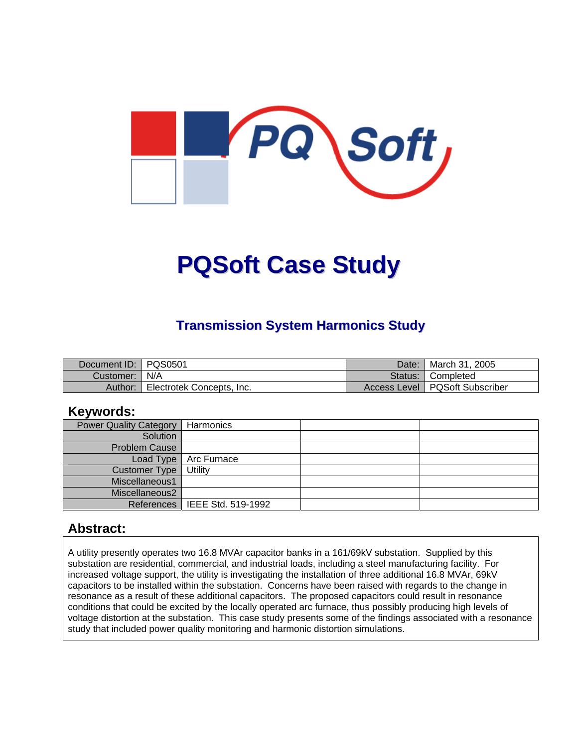

# **PQSoft Case Study**

## **Transmission System Harmonics Study**

| Document ID:   PQS0501 |                           | Date: | March 31, 2005                   |
|------------------------|---------------------------|-------|----------------------------------|
| Customer:   N/A        |                           |       | Status: Completed                |
| Author:                | Electrotek Concepts, Inc. |       | Access Level   PQSoft Subscriber |

#### **Keywords:**

| <b>Power Quality Category</b> | Harmonics                       |  |
|-------------------------------|---------------------------------|--|
| Solution                      |                                 |  |
| <b>Problem Cause</b>          |                                 |  |
| Load Type                     | Arc Furnace                     |  |
| Customer Type                 | Utility                         |  |
| Miscellaneous1                |                                 |  |
| Miscellaneous2                |                                 |  |
|                               | References   IEEE Std. 519-1992 |  |

#### **Abstract:**

A utility presently operates two 16.8 MVAr capacitor banks in a 161/69kV substation. Supplied by this substation are residential, commercial, and industrial loads, including a steel manufacturing facility. For increased voltage support, the utility is investigating the installation of three additional 16.8 MVAr, 69kV capacitors to be installed within the substation. Concerns have been raised with regards to the change in resonance as a result of these additional capacitors. The proposed capacitors could result in resonance conditions that could be excited by the locally operated arc furnace, thus possibly producing high levels of voltage distortion at the substation. This case study presents some of the findings associated with a resonance study that included power quality monitoring and harmonic distortion simulations.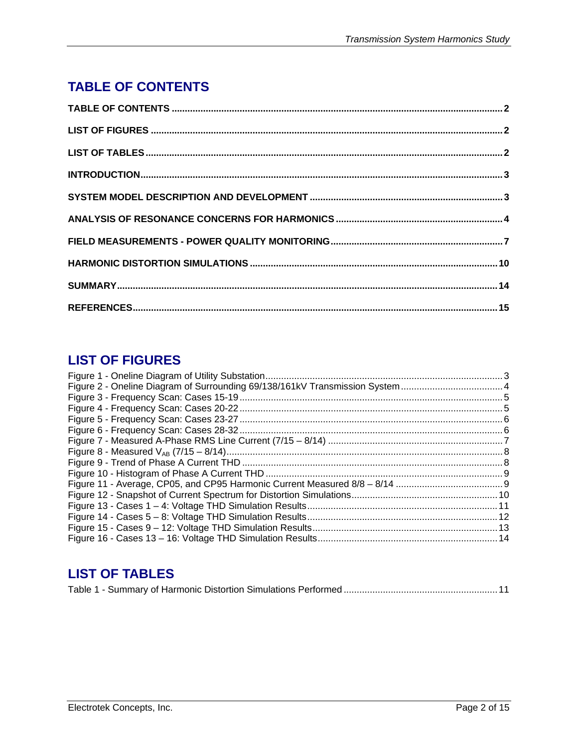# <span id="page-1-0"></span>**TABLE OF CONTENTS**

## **LIST OF FIGURES**

## **LIST OF TABLES**

|--|--|--|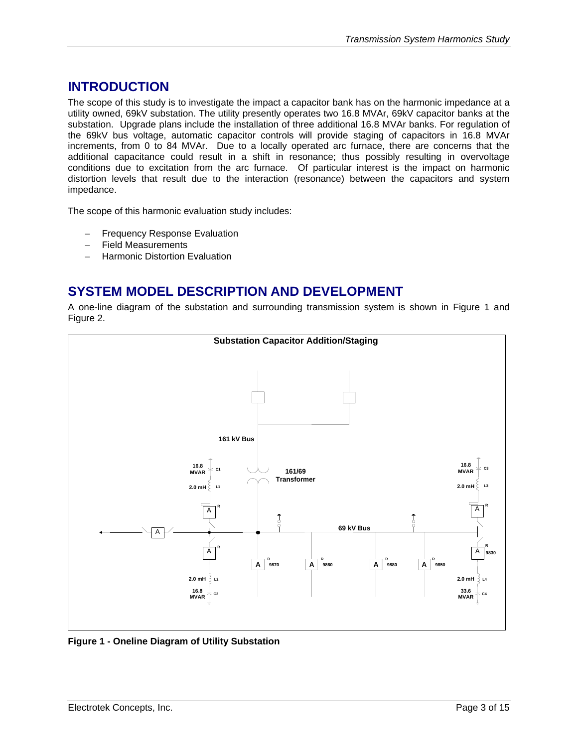### <span id="page-2-0"></span>**INTRODUCTION**

The scope of this study is to investigate the impact a capacitor bank has on the harmonic impedance at a utility owned, 69kV substation. The utility presently operates two 16.8 MVAr, 69kV capacitor banks at the substation. Upgrade plans include the installation of three additional 16.8 MVAr banks. For regulation of the 69kV bus voltage, automatic capacitor controls will provide staging of capacitors in 16.8 MVAr increments, from 0 to 84 MVAr. Due to a locally operated arc furnace, there are concerns that the additional capacitance could result in a shift in resonance; thus possibly resulting in overvoltage conditions due to excitation from the arc furnace. Of particular interest is the impact on harmonic distortion levels that result due to the interaction (resonance) between the capacitors and system impedance.

The scope of this harmonic evaluation study includes:

- − Frequency Response Evaluation
- − Field Measurements
- − Harmonic Distortion Evaluation

#### **SYSTEM MODEL DESCRIPTION AND DEVELOPMENT**

A one-line diagram of the substation and surrounding transmission system is shown in [Figure 1](#page-2-1) and [Figure 2.](#page-3-1)



<span id="page-2-1"></span>**Figure 1 - Oneline Diagram of Utility Substation**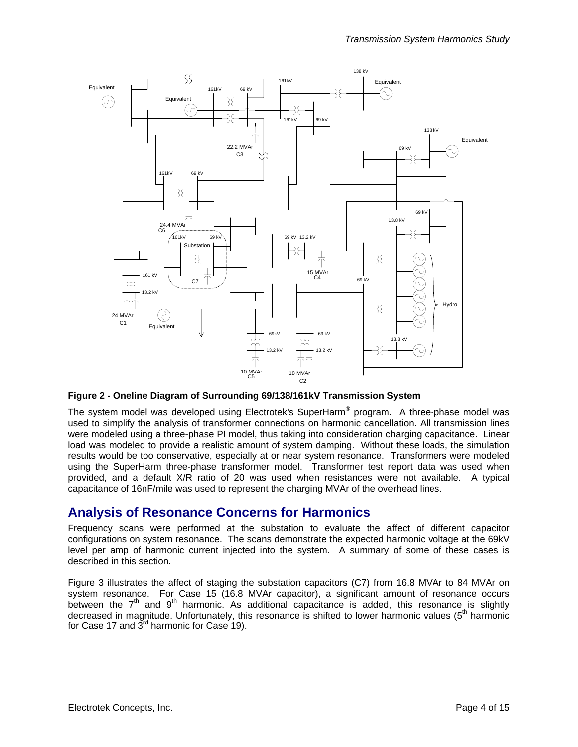<span id="page-3-1"></span><span id="page-3-0"></span>

**Figure 2 - Oneline Diagram of Surrounding 69/138/161kV Transmission System** 

The system model was developed using Electrotek's SuperHarm® program. A three-phase model was used to simplify the analysis of transformer connections on harmonic cancellation. All transmission lines were modeled using a three-phase PI model, thus taking into consideration charging capacitance. Linear load was modeled to provide a realistic amount of system damping. Without these loads, the simulation results would be too conservative, especially at or near system resonance. Transformers were modeled using the SuperHarm three-phase transformer model. Transformer test report data was used when provided, and a default X/R ratio of 20 was used when resistances were not available. A typical capacitance of 16nF/mile was used to represent the charging MVAr of the overhead lines.

#### **Analysis of Resonance Concerns for Harmonics**

Frequency scans were performed at the substation to evaluate the affect of different capacitor configurations on system resonance. The scans demonstrate the expected harmonic voltage at the 69kV level per amp of harmonic current injected into the system. A summary of some of these cases is described in this section.

[Figure 3](#page-4-1) illustrates the affect of staging the substation capacitors (C7) from 16.8 MVAr to 84 MVAr on system resonance. For Case 15 (16.8 MVAr capacitor), a significant amount of resonance occurs between the  $7<sup>th</sup>$  and  $9<sup>th</sup>$  harmonic. As additional capacitance is added, this resonance is slightly decreased in magnitude. Unfortunately, this resonance is shifted to lower harmonic values (5<sup>th</sup> harmonic for Case 17 and  $3^{\text{rd}}$  harmonic for Case 19).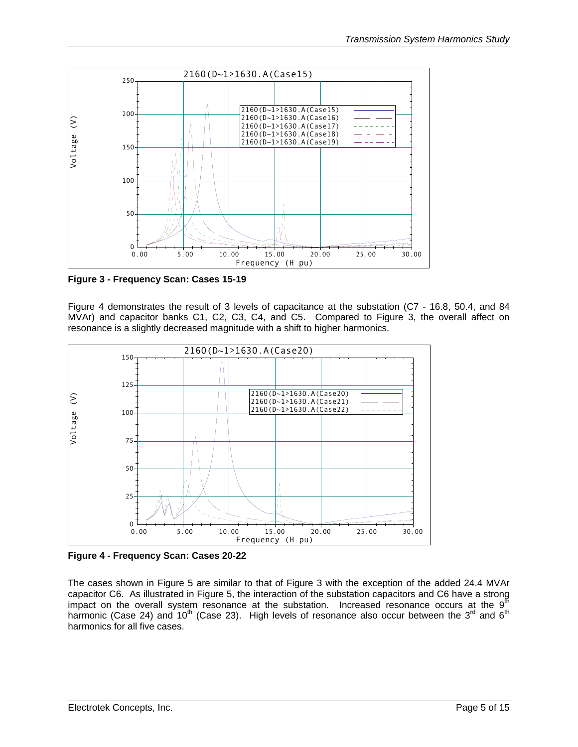<span id="page-4-1"></span><span id="page-4-0"></span>

**Figure 3 - Frequency Scan: Cases 15-19** 

[Figure 4](#page-4-2) demonstrates the result of 3 levels of capacitance at the substation (C7 - 16.8, 50.4, and 84 MVAr) and capacitor banks C1, C2, C3, C4, and C5. Compared to [Figure 3,](#page-4-1) the overall affect on resonance is a slightly decreased magnitude with a shift to higher harmonics.

<span id="page-4-2"></span>

**Figure 4 - Frequency Scan: Cases 20-22** 

The cases shown in [Figure 5](#page-5-1) are similar to that of [Figure 3](#page-4-1) with the exception of the added 24.4 MVAr capacitor C6. As illustrated in [Figure](#page-5-1) 5, the interaction of the substation capacitors and C6 have a strong impact on the overall system resonance at the substation. Increased resonance occurs at the  $9<sup>th</sup>$ harmonic (Case 24) and 10<sup>th</sup> (Case 23). High levels of resonance also occur between the 3<sup>rd</sup> and 6<sup>th</sup> harmonics for all five cases.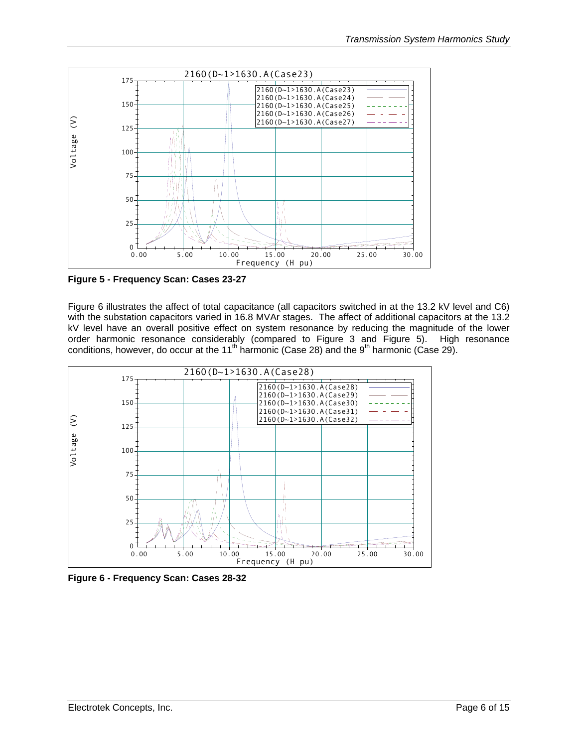<span id="page-5-1"></span><span id="page-5-0"></span>

**Figure 5 - Frequency Scan: Cases 23-27** 

[Figure 6](#page-5-2) illustrates the affect of total capacitance (all capacitors switched in at the 13.2 kV level and C6) with the substation capacitors varied in 16.8 MVAr stages. The affect of additional capacitors at the 13.2 kV level have an overall positive effect on system resonance by reducing the magnitude of the lower order harmonic resonance considerably (compared to [Figure 3](#page-4-1) and [Figure 5\)](#page-5-1). High resonance conditions, however, do occur at the 11<sup>th</sup> harmonic (Case 28) and the 9<sup>th</sup> harmonic (Case 29).

<span id="page-5-2"></span>

**Figure 6 - Frequency Scan: Cases 28-32**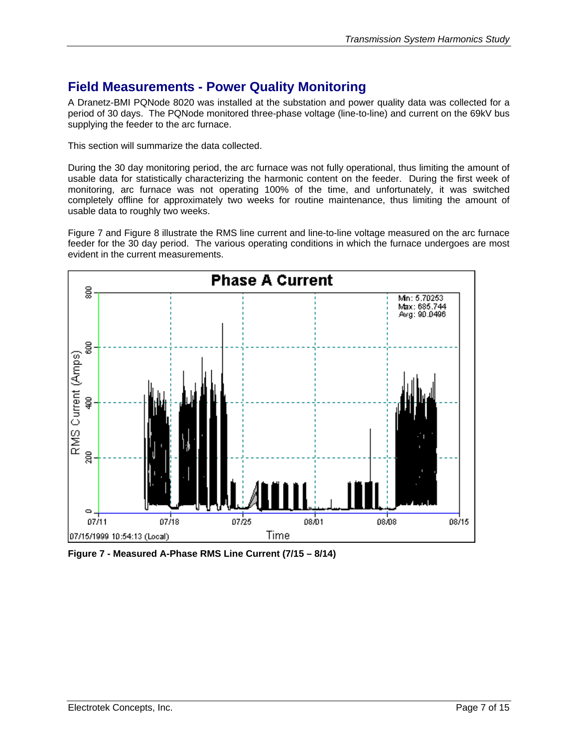## <span id="page-6-0"></span>**Field Measurements - Power Quality Monitoring**

A Dranetz-BMI PQNode 8020 was installed at the substation and power quality data was collected for a period of 30 days. The PQNode monitored three-phase voltage (line-to-line) and current on the 69kV bus supplying the feeder to the arc furnace.

This section will summarize the data collected.

During the 30 day monitoring period, the arc furnace was not fully operational, thus limiting the amount of usable data for statistically characterizing the harmonic content on the feeder. During the first week of monitoring, arc furnace was not operating 100% of the time, and unfortunately, it was switched completely offline for approximately two weeks for routine maintenance, thus limiting the amount of usable data to roughly two weeks.

[Figure 7](#page-6-1) and [Figure 8](#page-7-1) illustrate the RMS line current and line-to-line voltage measured on the arc furnace feeder for the 30 day period. The various operating conditions in which the furnace undergoes are most evident in the current measurements.

<span id="page-6-1"></span>

**Figure 7 - Measured A-Phase RMS Line Current (7/15 – 8/14)**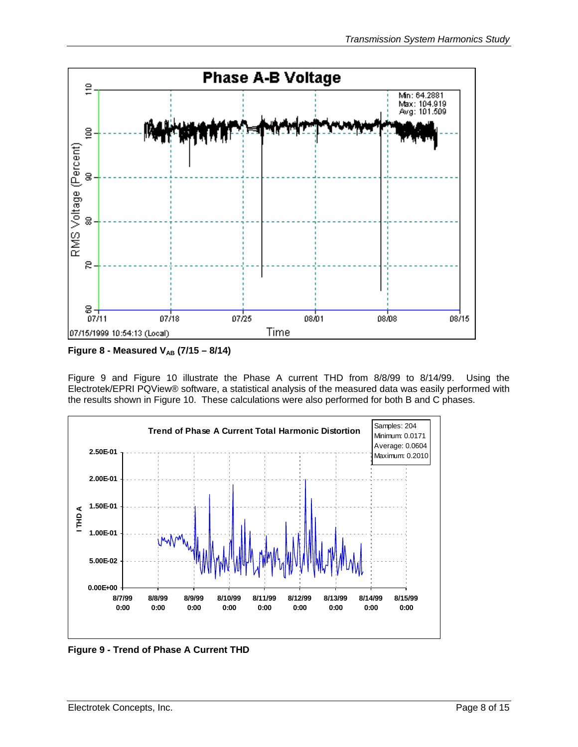<span id="page-7-1"></span><span id="page-7-0"></span>

**Figure 8 - Measured V<sub>AB</sub> (7/15 – 8/14)** 

[Figure 9](#page-7-2) and [Figure 10](#page-8-1) illustrate the Phase A current THD from 8/8/99 to 8/14/99. Using the Electrotek/EPRI PQView® software, a statistical analysis of the measured data was easily performed with the results shown in [Figure 10.](#page-8-1) These calculations were also performed for both B and C phases.

<span id="page-7-2"></span>

**Figure 9 - Trend of Phase A Current THD**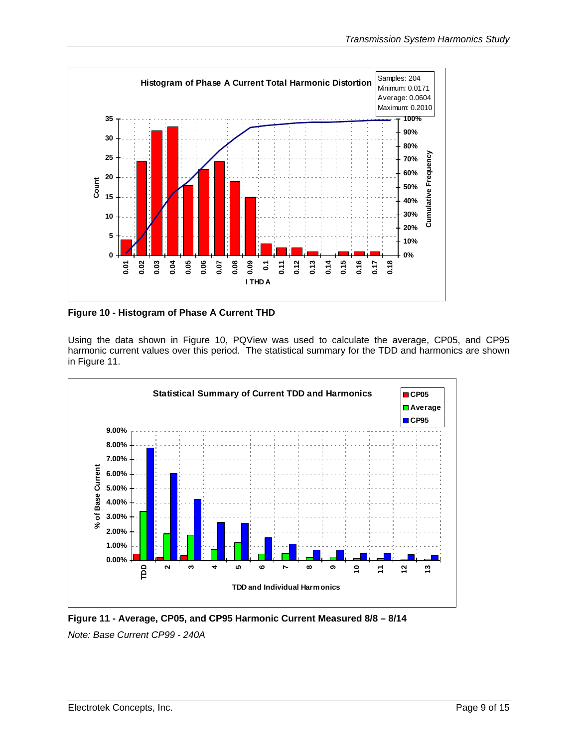<span id="page-8-1"></span><span id="page-8-0"></span>

**Figure 10 - Histogram of Phase A Current THD** 

Using the data shown in [Figure 10,](#page-8-1) PQView was used to calculate the average, CP05, and CP95 harmonic current values over this period. The statistical summary for the TDD and harmonics are shown in [Figure 11.](#page-8-2)

<span id="page-8-2"></span>

**Figure 11 - Average, CP05, and CP95 Harmonic Current Measured 8/8 – 8/14**  *Note: Base Current CP99 - 240A*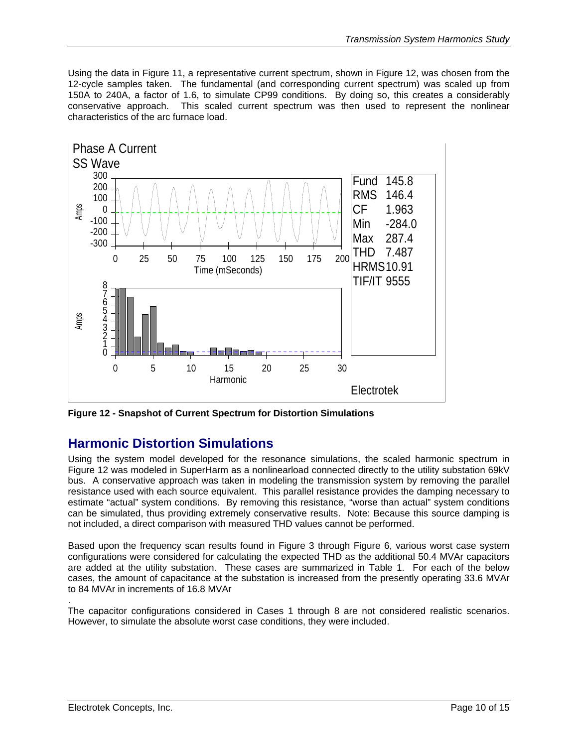<span id="page-9-0"></span>Using the data in [Figure 11,](#page-8-2) a representative current spectrum, shown in [Figure 12,](#page-9-1) was chosen from the 12-cycle samples taken. The fundamental (and corresponding current spectrum) was scaled up from 150A to 240A, a factor of 1.6, to simulate CP99 conditions. By doing so, this creates a considerably conservative approach. This scaled current spectrum was then used to represent the nonlinear characteristics of the arc furnace load.

<span id="page-9-1"></span>

**Figure 12 - Snapshot of Current Spectrum for Distortion Simulations** 

### **Harmonic Distortion Simulations**

Using the system model developed for the resonance simulations, the scaled harmonic spectrum in [Figure 12](#page-9-1) was modeled in SuperHarm as a nonlinearload connected directly to the utility substation 69kV bus. A conservative approach was taken in modeling the transmission system by removing the parallel resistance used with each source equivalent. This parallel resistance provides the damping necessary to estimate "actual" system conditions. By removing this resistance, "worse than actual" system conditions can be simulated, thus providing extremely conservative results. Note: Because this source damping is not included, a direct comparison with measured THD values cannot be performed.

Based upon the frequency scan results found in [Figure 3](#page-4-1) through [Figure 6,](#page-5-2) various worst case system configurations were considered for calculating the expected THD as the additional 50.4 MVAr capacitors are added at the utility substation. These cases are summarized in [Table 1.](#page-10-1) For each of the below cases, the amount of capacitance at the substation is increased from the presently operating 33.6 MVAr to 84 MVAr in increments of 16.8 MVAr

The capacitor configurations considered in Cases 1 through 8 are not considered realistic scenarios. However, to simulate the absolute worst case conditions, they were included.

.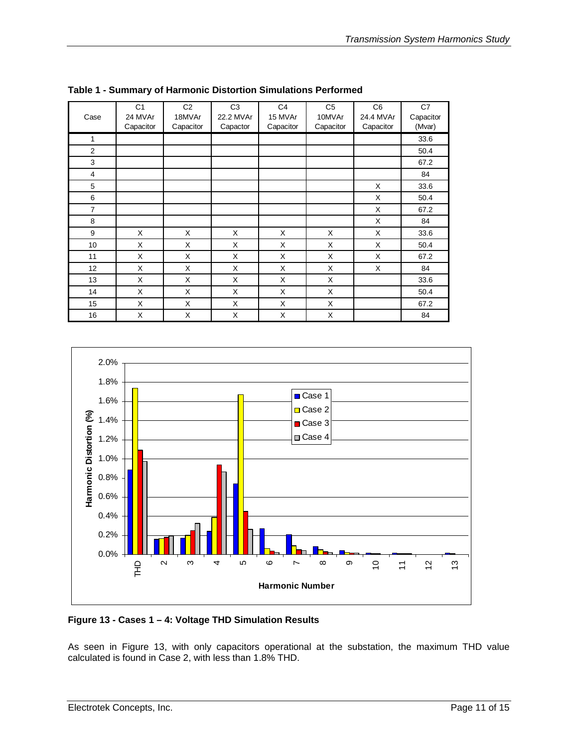| Case           | C <sub>1</sub><br>24 MVAr<br>Capacitor | C <sub>2</sub><br>18MVAr<br>Capacitor | C <sub>3</sub><br>22.2 MVAr<br>Capactor | C <sub>4</sub><br>15 MVAr<br>Capacitor | C <sub>5</sub><br>10MVAr<br>Capacitor | C <sub>6</sub><br>24.4 MVAr<br>Capacitor | C7<br>Capacitor<br>(Mvar) |
|----------------|----------------------------------------|---------------------------------------|-----------------------------------------|----------------------------------------|---------------------------------------|------------------------------------------|---------------------------|
| 1              |                                        |                                       |                                         |                                        |                                       |                                          | 33.6                      |
| $\overline{2}$ |                                        |                                       |                                         |                                        |                                       |                                          | 50.4                      |
| 3              |                                        |                                       |                                         |                                        |                                       |                                          | 67.2                      |
| $\overline{4}$ |                                        |                                       |                                         |                                        |                                       |                                          | 84                        |
| 5              |                                        |                                       |                                         |                                        |                                       | X                                        | 33.6                      |
| 6              |                                        |                                       |                                         |                                        |                                       | X                                        | 50.4                      |
| $\overline{7}$ |                                        |                                       |                                         |                                        |                                       | X                                        | 67.2                      |
| 8              |                                        |                                       |                                         |                                        |                                       | X                                        | 84                        |
| 9              | X                                      | X                                     | X                                       | X                                      | X                                     | X                                        | 33.6                      |
| 10             | X                                      | X                                     | X                                       | X                                      | X                                     | X                                        | 50.4                      |
| 11             | X                                      | X                                     | X                                       | X                                      | X                                     | X                                        | 67.2                      |
| 12             | X                                      | X                                     | X                                       | X                                      | X                                     | X                                        | 84                        |
| 13             | X                                      | X                                     | X                                       | X                                      | X                                     |                                          | 33.6                      |
| 14             | X                                      | X                                     | X                                       | X                                      | X                                     |                                          | 50.4                      |
| 15             | X                                      | X                                     | X                                       | X                                      | X                                     |                                          | 67.2                      |
| 16             | X                                      | X                                     | X                                       | X                                      | X                                     |                                          | 84                        |

<span id="page-10-1"></span><span id="page-10-0"></span>**Table 1 - Summary of Harmonic Distortion Simulations Performed** 

<span id="page-10-2"></span>

**Figure 13 - Cases 1 – 4: Voltage THD Simulation Results** 

As seen in [Figure 13,](#page-10-2) with only capacitors operational at the substation, the maximum THD value calculated is found in Case 2, with less than 1.8% THD.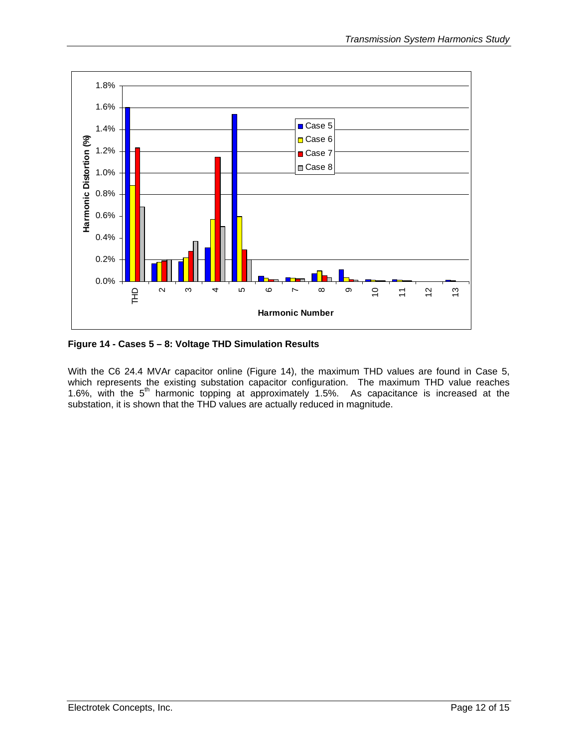<span id="page-11-1"></span><span id="page-11-0"></span>

**Figure 14 - Cases 5 – 8: Voltage THD Simulation Results** 

With the C6 24.4 MVAr capacitor online [\(Figure 14\)](#page-11-1), the maximum THD values are found in Case 5, which represents the existing substation capacitor configuration. The maximum THD value reaches 1.6%, with the  $5<sup>th</sup>$  harmonic topping at approximately 1.5%. As capacitance is increased at the substation, it is shown that the THD values are actually reduced in magnitude.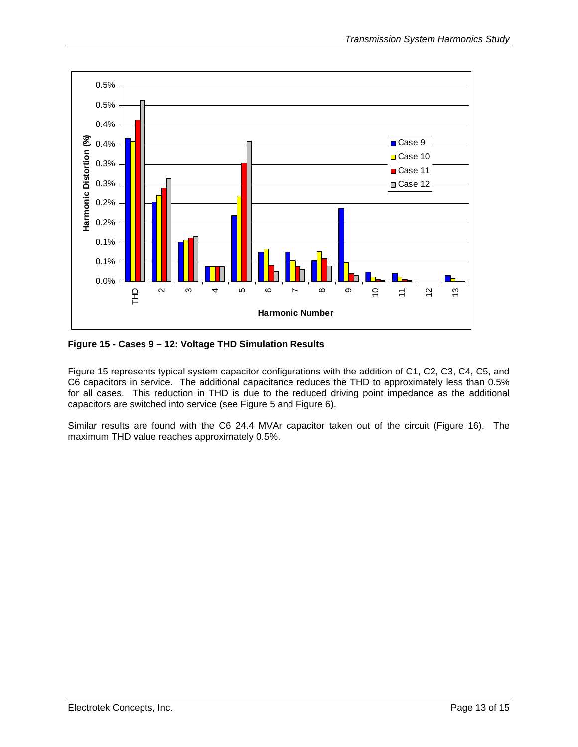<span id="page-12-1"></span><span id="page-12-0"></span>

**Figure 15 - Cases 9 – 12: Voltage THD Simulation Results** 

[Figure 15](#page-12-1) represents typical system capacitor configurations with the addition of C1, C2, C3, C4, C5, and C6 capacitors in service. The additional capacitance reduces the THD to approximately less than 0.5% for all cases. This reduction in THD is due to the reduced driving point impedance as the additional capacitors are switched into service (see [Figure 5](#page-5-1) and [Figure 6\)](#page-5-2).

Similar results are found with the C6 24.4 MVAr capacitor taken out of the circuit ([Figure 16\)](#page-13-1). The maximum THD value reaches approximately 0.5%.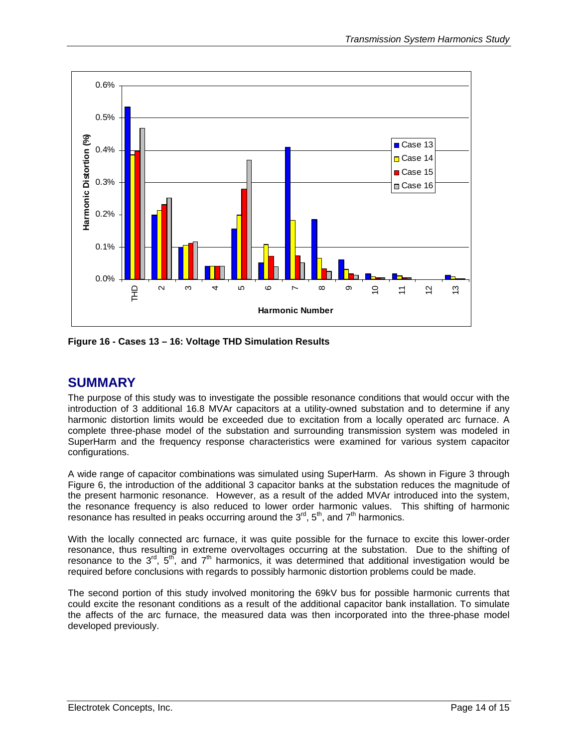<span id="page-13-1"></span><span id="page-13-0"></span>

**Figure 16 - Cases 13 – 16: Voltage THD Simulation Results** 

#### **SUMMARY**

The purpose of this study was to investigate the possible resonance conditions that would occur with the introduction of 3 additional 16.8 MVAr capacitors at a utility-owned substation and to determine if any harmonic distortion limits would be exceeded due to excitation from a locally operated arc furnace. A complete three-phase model of the substation and surrounding transmission system was modeled in SuperHarm and the frequency response characteristics were examined for various system capacitor configurations.

A wide range of capacitor combinations was simulated using SuperHarm. As shown in [Figure 3](#page-4-1) through [Figure 6,](#page-5-2) the introduction of the additional 3 capacitor banks at the substation reduces the magnitude of the present harmonic resonance. However, as a result of the added MVAr introduced into the system, the resonance frequency is also reduced to lower order harmonic values. This shifting of harmonic resonance has resulted in peaks occurring around the  $3<sup>rd</sup>$ ,  $5<sup>th</sup>$ , and  $7<sup>th</sup>$  harmonics.

With the locally connected arc furnace, it was quite possible for the furnace to excite this lower-order resonance, thus resulting in extreme overvoltages occurring at the substation. Due to the shifting of resonance to the  $3<sup>rd</sup>$ ,  $5<sup>th</sup>$ , and  $7<sup>th</sup>$  harmonics, it was determined that additional investigation would be required before conclusions with regards to possibly harmonic distortion problems could be made.

The second portion of this study involved monitoring the 69kV bus for possible harmonic currents that could excite the resonant conditions as a result of the additional capacitor bank installation. To simulate the affects of the arc furnace, the measured data was then incorporated into the three-phase model developed previously.